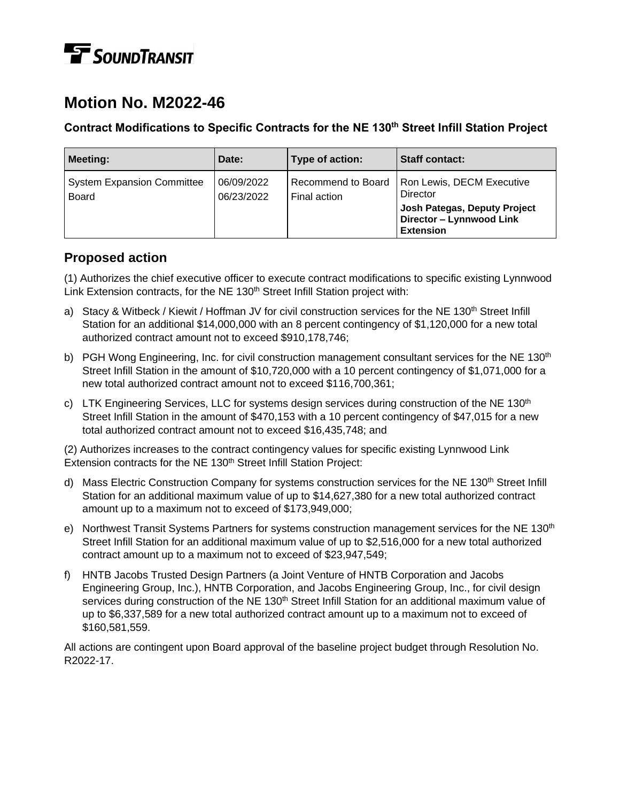# **TE** SOUNDTRANSIT

## **Motion No. M2022-46**

#### **Contract Modifications to Specific Contracts for the NE 130th Street Infill Station Project**

| <b>Meeting:</b>                                   | Date:                    | Type of action:                    | <b>Staff contact:</b>                                                                                                 |
|---------------------------------------------------|--------------------------|------------------------------------|-----------------------------------------------------------------------------------------------------------------------|
| <b>System Expansion Committee</b><br><b>Board</b> | 06/09/2022<br>06/23/2022 | Recommend to Board<br>Final action | Ron Lewis, DECM Executive<br>Director<br>Josh Pategas, Deputy Project<br>Director - Lynnwood Link<br><b>Extension</b> |

## **Proposed action**

(1) Authorizes the chief executive officer to execute contract modifications to specific existing Lynnwood Link Extension contracts, for the NE 130<sup>th</sup> Street Infill Station project with:

- a) Stacy & Witbeck / Kiewit / Hoffman JV for civil construction services for the NE 130<sup>th</sup> Street Infill Station for an additional \$14,000,000 with an 8 percent contingency of \$1,120,000 for a new total authorized contract amount not to exceed \$910,178,746;
- b) PGH Wong Engineering, Inc. for civil construction management consultant services for the NE 130<sup>th</sup> Street Infill Station in the amount of \$10,720,000 with a 10 percent contingency of \$1,071,000 for a new total authorized contract amount not to exceed \$116,700,361;
- c) LTK Engineering Services, LLC for systems design services during construction of the NE 130<sup>th</sup> Street Infill Station in the amount of \$470,153 with a 10 percent contingency of \$47,015 for a new total authorized contract amount not to exceed \$16,435,748; and

(2) Authorizes increases to the contract contingency values for specific existing Lynnwood Link Extension contracts for the NE 130<sup>th</sup> Street Infill Station Project:

- d) Mass Electric Construction Company for systems construction services for the NE 130<sup>th</sup> Street Infill Station for an additional maximum value of up to \$14,627,380 for a new total authorized contract amount up to a maximum not to exceed of \$173,949,000;
- e) Northwest Transit Systems Partners for systems construction management services for the NE 130<sup>th</sup> Street Infill Station for an additional maximum value of up to \$2,516,000 for a new total authorized contract amount up to a maximum not to exceed of \$23,947,549;
- f) HNTB Jacobs Trusted Design Partners (a Joint Venture of HNTB Corporation and Jacobs Engineering Group, Inc.), HNTB Corporation, and Jacobs Engineering Group, Inc., for civil design services during construction of the NE 130<sup>th</sup> Street Infill Station for an additional maximum value of up to \$6,337,589 for a new total authorized contract amount up to a maximum not to exceed of \$160,581,559.

All actions are contingent upon Board approval of the baseline project budget through Resolution No. R2022-17.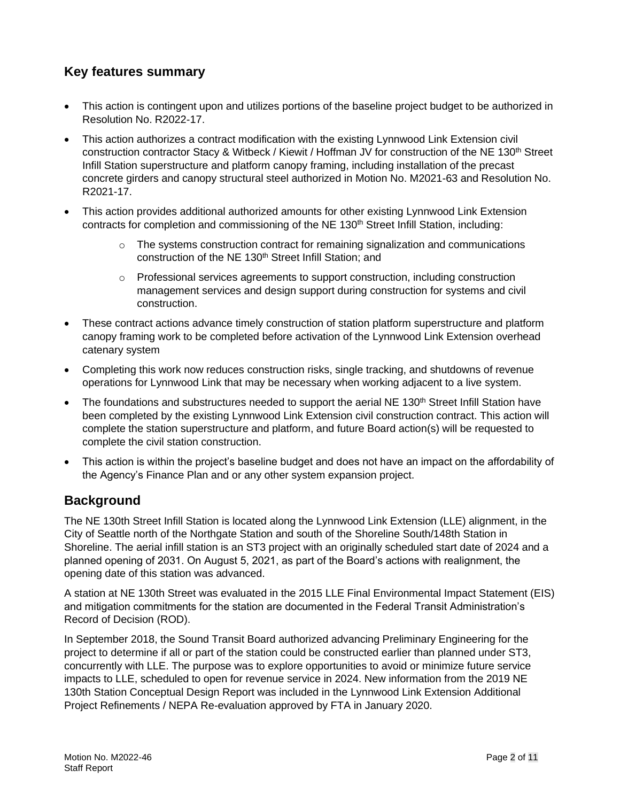## **Key features summary**

- This action is contingent upon and utilizes portions of the baseline project budget to be authorized in Resolution No. R2022-17.
- This action authorizes a contract modification with the existing Lynnwood Link Extension civil construction contractor Stacy & Witbeck / Kiewit / Hoffman JV for construction of the NE 130th Street Infill Station superstructure and platform canopy framing, including installation of the precast concrete girders and canopy structural steel authorized in Motion No. M2021-63 and Resolution No. R2021-17.
- This action provides additional authorized amounts for other existing Lynnwood Link Extension contracts for completion and commissioning of the NE 130<sup>th</sup> Street Infill Station, including:
	- o The systems construction contract for remaining signalization and communications construction of the NE 130<sup>th</sup> Street Infill Station; and
	- $\circ$  Professional services agreements to support construction, including construction management services and design support during construction for systems and civil construction.
- These contract actions advance timely construction of station platform superstructure and platform canopy framing work to be completed before activation of the Lynnwood Link Extension overhead catenary system
- Completing this work now reduces construction risks, single tracking, and shutdowns of revenue operations for Lynnwood Link that may be necessary when working adjacent to a live system.
- The foundations and substructures needed to support the aerial NE 130<sup>th</sup> Street Infill Station have been completed by the existing Lynnwood Link Extension civil construction contract. This action will complete the station superstructure and platform, and future Board action(s) will be requested to complete the civil station construction.
- This action is within the project's baseline budget and does not have an impact on the affordability of the Agency's Finance Plan and or any other system expansion project.

## **Background**

The NE 130th Street Infill Station is located along the Lynnwood Link Extension (LLE) alignment, in the City of Seattle north of the Northgate Station and south of the Shoreline South/148th Station in Shoreline. The aerial infill station is an ST3 project with an originally scheduled start date of 2024 and a planned opening of 2031. On August 5, 2021, as part of the Board's actions with realignment, the opening date of this station was advanced.

A station at NE 130th Street was evaluated in the 2015 LLE Final Environmental Impact Statement (EIS) and mitigation commitments for the station are documented in the Federal Transit Administration's Record of Decision (ROD).

In September 2018, the Sound Transit Board authorized advancing Preliminary Engineering for the project to determine if all or part of the station could be constructed earlier than planned under ST3, concurrently with LLE. The purpose was to explore opportunities to avoid or minimize future service impacts to LLE, scheduled to open for revenue service in 2024. New information from the 2019 NE 130th Station Conceptual Design Report was included in the Lynnwood Link Extension Additional Project Refinements / NEPA Re-evaluation approved by FTA in January 2020.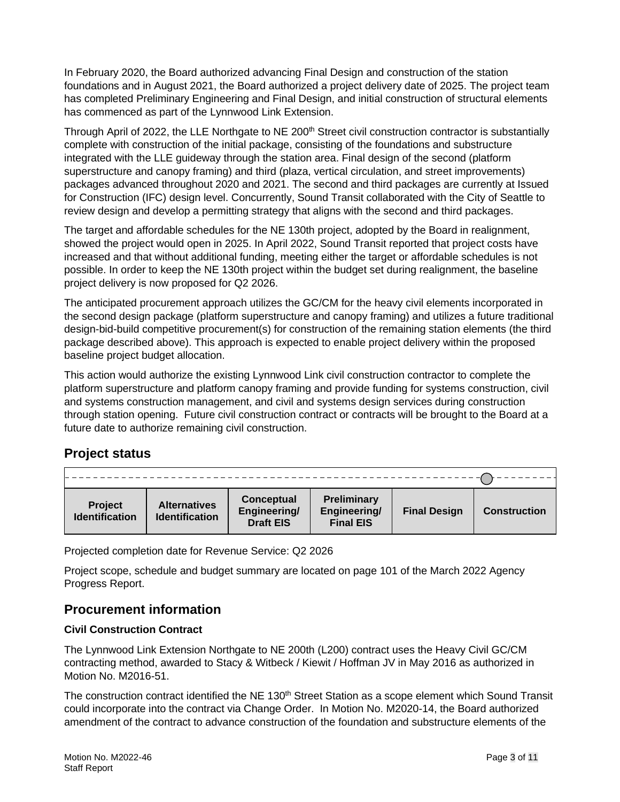In February 2020, the Board authorized advancing Final Design and construction of the station foundations and in August 2021, the Board authorized a project delivery date of 2025. The project team has completed Preliminary Engineering and Final Design, and initial construction of structural elements has commenced as part of the Lynnwood Link Extension.

Through April of 2022, the LLE Northgate to NE 200<sup>th</sup> Street civil construction contractor is substantially complete with construction of the initial package, consisting of the foundations and substructure integrated with the LLE guideway through the station area. Final design of the second (platform superstructure and canopy framing) and third (plaza, vertical circulation, and street improvements) packages advanced throughout 2020 and 2021. The second and third packages are currently at Issued for Construction (IFC) design level. Concurrently, Sound Transit collaborated with the City of Seattle to review design and develop a permitting strategy that aligns with the second and third packages.

The target and affordable schedules for the NE 130th project, adopted by the Board in realignment, showed the project would open in 2025. In April 2022, Sound Transit reported that project costs have increased and that without additional funding, meeting either the target or affordable schedules is not possible. In order to keep the NE 130th project within the budget set during realignment, the baseline project delivery is now proposed for Q2 2026.

The anticipated procurement approach utilizes the GC/CM for the heavy civil elements incorporated in the second design package (platform superstructure and canopy framing) and utilizes a future traditional design-bid-build competitive procurement(s) for construction of the remaining station elements (the third package described above). This approach is expected to enable project delivery within the proposed baseline project budget allocation.

This action would authorize the existing Lynnwood Link civil construction contractor to complete the platform superstructure and platform canopy framing and provide funding for systems construction, civil and systems construction management, and civil and systems design services during construction through station opening. Future civil construction contract or contracts will be brought to the Board at a future date to authorize remaining civil construction.

## **Project status**

| <b>Project</b><br><b>Identification</b> | <b>Alternatives</b><br><b>Identification</b> | <b>Conceptual</b><br>Engineering/<br><b>Draft EIS</b> | <b>Preliminary</b><br>Engineering/<br><b>Final EIS</b> | <b>Final Design</b> | <b>Construction</b> |
|-----------------------------------------|----------------------------------------------|-------------------------------------------------------|--------------------------------------------------------|---------------------|---------------------|

Projected completion date for Revenue Service: Q2 2026

Project scope, schedule and budget summary are located on page 101 of the March 2022 Agency Progress Report.

## **Procurement information**

#### **Civil Construction Contract**

The Lynnwood Link Extension Northgate to NE 200th (L200) contract uses the Heavy Civil GC/CM contracting method, awarded to Stacy & Witbeck / Kiewit / Hoffman JV in May 2016 as authorized in Motion No. M2016-51.

The construction contract identified the NE 130<sup>th</sup> Street Station as a scope element which Sound Transit could incorporate into the contract via Change Order. In Motion No. M2020-14, the Board authorized amendment of the contract to advance construction of the foundation and substructure elements of the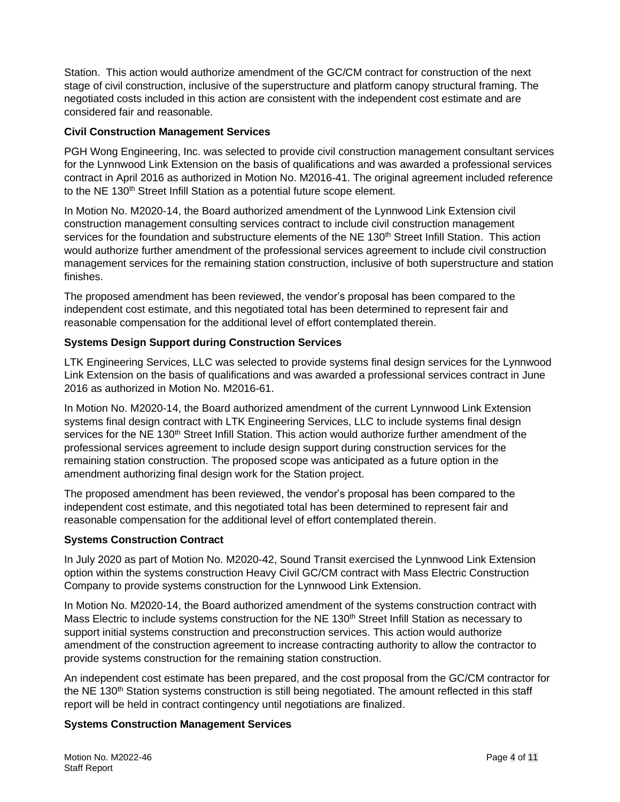Station. This action would authorize amendment of the GC/CM contract for construction of the next stage of civil construction, inclusive of the superstructure and platform canopy structural framing. The negotiated costs included in this action are consistent with the independent cost estimate and are considered fair and reasonable.

#### **Civil Construction Management Services**

PGH Wong Engineering, Inc. was selected to provide civil construction management consultant services for the Lynnwood Link Extension on the basis of qualifications and was awarded a professional services contract in April 2016 as authorized in Motion No. M2016-41. The original agreement included reference to the NE 130<sup>th</sup> Street Infill Station as a potential future scope element.

In Motion No. M2020-14, the Board authorized amendment of the Lynnwood Link Extension civil construction management consulting services contract to include civil construction management services for the foundation and substructure elements of the NE 130<sup>th</sup> Street Infill Station. This action would authorize further amendment of the professional services agreement to include civil construction management services for the remaining station construction, inclusive of both superstructure and station finishes.

The proposed amendment has been reviewed, the vendor's proposal has been compared to the independent cost estimate, and this negotiated total has been determined to represent fair and reasonable compensation for the additional level of effort contemplated therein.

#### **Systems Design Support during Construction Services**

LTK Engineering Services, LLC was selected to provide systems final design services for the Lynnwood Link Extension on the basis of qualifications and was awarded a professional services contract in June 2016 as authorized in Motion No. M2016-61.

In Motion No. M2020-14, the Board authorized amendment of the current Lynnwood Link Extension systems final design contract with LTK Engineering Services, LLC to include systems final design services for the NE 130<sup>th</sup> Street Infill Station. This action would authorize further amendment of the professional services agreement to include design support during construction services for the remaining station construction. The proposed scope was anticipated as a future option in the amendment authorizing final design work for the Station project.

The proposed amendment has been reviewed, the vendor's proposal has been compared to the independent cost estimate, and this negotiated total has been determined to represent fair and reasonable compensation for the additional level of effort contemplated therein.

#### **Systems Construction Contract**

In July 2020 as part of Motion No. M2020-42, Sound Transit exercised the Lynnwood Link Extension option within the systems construction Heavy Civil GC/CM contract with Mass Electric Construction Company to provide systems construction for the Lynnwood Link Extension.

In Motion No. M2020-14, the Board authorized amendment of the systems construction contract with Mass Electric to include systems construction for the NE 130<sup>th</sup> Street Infill Station as necessary to support initial systems construction and preconstruction services. This action would authorize amendment of the construction agreement to increase contracting authority to allow the contractor to provide systems construction for the remaining station construction.

An independent cost estimate has been prepared, and the cost proposal from the GC/CM contractor for the NE 130<sup>th</sup> Station systems construction is still being negotiated. The amount reflected in this staff report will be held in contract contingency until negotiations are finalized.

#### **Systems Construction Management Services**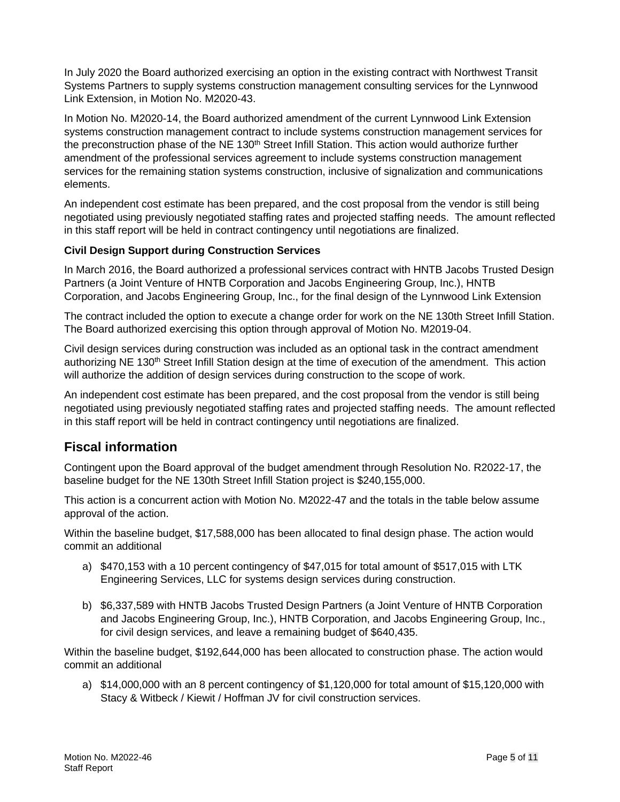In July 2020 the Board authorized exercising an option in the existing contract with Northwest Transit Systems Partners to supply systems construction management consulting services for the Lynnwood Link Extension, in Motion No. M2020-43.

In Motion No. M2020-14, the Board authorized amendment of the current Lynnwood Link Extension systems construction management contract to include systems construction management services for the preconstruction phase of the NE 130<sup>th</sup> Street Infill Station. This action would authorize further amendment of the professional services agreement to include systems construction management services for the remaining station systems construction, inclusive of signalization and communications elements.

An independent cost estimate has been prepared, and the cost proposal from the vendor is still being negotiated using previously negotiated staffing rates and projected staffing needs. The amount reflected in this staff report will be held in contract contingency until negotiations are finalized.

#### **Civil Design Support during Construction Services**

In March 2016, the Board authorized a professional services contract with HNTB Jacobs Trusted Design Partners (a Joint Venture of HNTB Corporation and Jacobs Engineering Group, Inc.), HNTB Corporation, and Jacobs Engineering Group, Inc., for the final design of the Lynnwood Link Extension

The contract included the option to execute a change order for work on the NE 130th Street Infill Station. The Board authorized exercising this option through approval of Motion No. M2019-04.

Civil design services during construction was included as an optional task in the contract amendment authorizing NE 130<sup>th</sup> Street Infill Station design at the time of execution of the amendment. This action will authorize the addition of design services during construction to the scope of work.

An independent cost estimate has been prepared, and the cost proposal from the vendor is still being negotiated using previously negotiated staffing rates and projected staffing needs. The amount reflected in this staff report will be held in contract contingency until negotiations are finalized.

## **Fiscal information**

Contingent upon the Board approval of the budget amendment through Resolution No. R2022-17, the baseline budget for the NE 130th Street Infill Station project is \$240,155,000.

This action is a concurrent action with Motion No. M2022-47 and the totals in the table below assume approval of the action.

Within the baseline budget, \$17,588,000 has been allocated to final design phase. The action would commit an additional

- a) \$470,153 with a 10 percent contingency of \$47,015 for total amount of \$517,015 with LTK Engineering Services, LLC for systems design services during construction.
- b) \$6,337,589 with HNTB Jacobs Trusted Design Partners (a Joint Venture of HNTB Corporation and Jacobs Engineering Group, Inc.), HNTB Corporation, and Jacobs Engineering Group, Inc., for civil design services, and leave a remaining budget of \$640,435.

Within the baseline budget, \$192,644,000 has been allocated to construction phase. The action would commit an additional

a) \$14,000,000 with an 8 percent contingency of \$1,120,000 for total amount of \$15,120,000 with Stacy & Witbeck / Kiewit / Hoffman JV for civil construction services.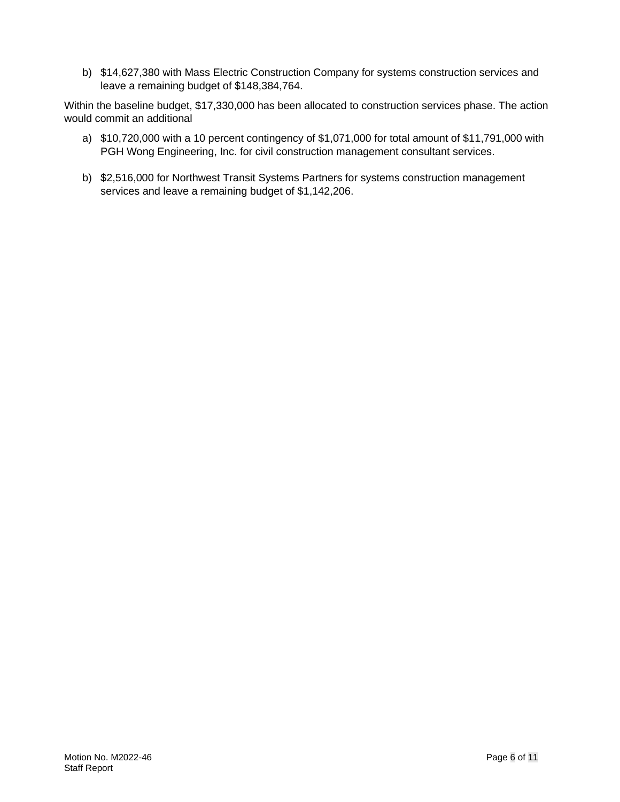b) \$14,627,380 with Mass Electric Construction Company for systems construction services and leave a remaining budget of \$148,384,764.

Within the baseline budget, \$17,330,000 has been allocated to construction services phase. The action would commit an additional

- a) \$10,720,000 with a 10 percent contingency of \$1,071,000 for total amount of \$11,791,000 with PGH Wong Engineering, Inc. for civil construction management consultant services.
- b) \$2,516,000 for Northwest Transit Systems Partners for systems construction management services and leave a remaining budget of \$1,142,206.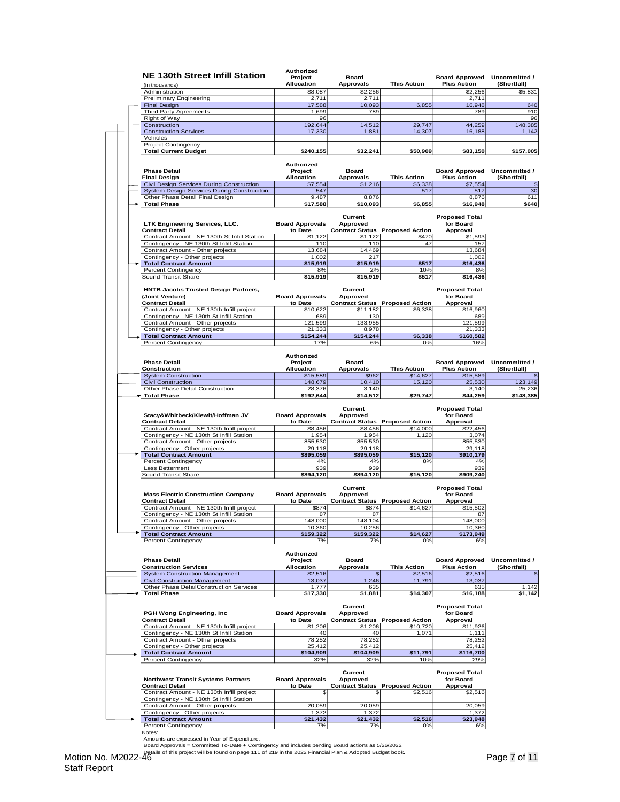| <b>NE 130th Street Infill Station</b><br>(in thousands)<br>Administration                                                                           | Project<br><b>Allocation</b><br>\$8,087 | <b>Board</b><br><b>Approvals</b><br>\$2,256 | <b>This Action</b>                                          | <b>Board Approved</b><br><b>Plus Action</b><br>\$2,256 | Uncommitted /<br>(Shortfall) |
|-----------------------------------------------------------------------------------------------------------------------------------------------------|-----------------------------------------|---------------------------------------------|-------------------------------------------------------------|--------------------------------------------------------|------------------------------|
| Preliminary Engineering                                                                                                                             | 2,711                                   | 2,711                                       |                                                             | 2,711                                                  |                              |
| <b>Final Design</b>                                                                                                                                 | 17,588                                  | 10,093                                      | 6,855                                                       | 16,948                                                 |                              |
| <b>Third Party Agreements</b>                                                                                                                       | 1,699                                   | 789                                         |                                                             | 789                                                    |                              |
| Right of Way                                                                                                                                        | 96                                      |                                             |                                                             |                                                        |                              |
| Construction<br><b>Construction Services</b>                                                                                                        | 192,644<br>17,330                       | 14,512<br>1,881                             | 29,747<br>14,307                                            | 44,259<br>16,188                                       |                              |
| Vehicles                                                                                                                                            |                                         |                                             |                                                             |                                                        |                              |
| Project Contingency                                                                                                                                 | \$240,155                               | \$32,241                                    | \$50,909                                                    | \$83,150                                               |                              |
| <b>Total Current Budget</b>                                                                                                                         |                                         |                                             |                                                             |                                                        |                              |
|                                                                                                                                                     | <b>Authorized</b>                       |                                             |                                                             |                                                        |                              |
| <b>Phase Detail</b><br><b>Final Design</b>                                                                                                          | Project<br><b>Allocation</b>            | <b>Board</b><br><b>Approvals</b>            | <b>This Action</b>                                          | <b>Board Approved</b><br><b>Plus Action</b>            | Uncommitted /<br>(Shortfall) |
| Civil Design Services During Construction                                                                                                           | \$7,554                                 | \$1,216                                     | \$6,338                                                     | \$7,554                                                |                              |
| System Design Services During Construciton                                                                                                          | 547                                     |                                             | 517                                                         | 517                                                    |                              |
| Other Phase Detail Final Design<br><b>Total Phase</b>                                                                                               | 9,487<br>\$17,588                       | 8,876<br>\$10,093                           | \$6,855                                                     | 8,876<br>\$16,948                                      |                              |
|                                                                                                                                                     |                                         |                                             |                                                             |                                                        |                              |
|                                                                                                                                                     |                                         | Current                                     |                                                             | <b>Proposed Total</b>                                  |                              |
| LTK Engineering Services, LLC.<br><b>Contract Detail</b>                                                                                            | <b>Board Approvals</b><br>to Date       | Approved                                    | <b>Contract Status Proposed Action</b>                      | for Board<br>Approval                                  |                              |
| Contract Amount - NE 130th St Infill Station                                                                                                        | \$1,122                                 | \$1,122                                     | \$470                                                       | \$1,593                                                |                              |
| Contingency - NE 130th St Infill Station                                                                                                            | 110                                     | 110                                         | 47                                                          | 157                                                    |                              |
| Contract Amount - Other projects                                                                                                                    | 13,684                                  | 14,469                                      |                                                             | 13,684                                                 |                              |
| Contingency - Other projects                                                                                                                        | 1,002                                   | 217                                         |                                                             | 1,002                                                  |                              |
| <b>Total Contract Amount</b>                                                                                                                        | \$15,919                                | \$15,919                                    | \$517                                                       | \$16,436                                               |                              |
| Percent Contingency                                                                                                                                 | 8%                                      | 2%                                          | 10%                                                         | 8%                                                     |                              |
| Sound Transit Share                                                                                                                                 | \$15,919                                | \$15,919                                    | \$517                                                       | \$16,436                                               |                              |
| <b>HNTB Jacobs Trusted Design Partners,</b>                                                                                                         |                                         | Current                                     |                                                             | <b>Proposed Total</b>                                  |                              |
| (Joint Venture)                                                                                                                                     | <b>Board Approvals</b>                  | Approved                                    |                                                             | for Board                                              |                              |
| <b>Contract Detail</b>                                                                                                                              | to Date                                 |                                             | <b>Contract Status Proposed Action</b>                      | Approval                                               |                              |
| Contract Amount - NE 130th Infill project                                                                                                           | \$10.622                                | \$11,182                                    | \$6,338                                                     | \$16,960                                               |                              |
| Contingency - NE 130th St Infill Station<br>Contract Amount - Other projects                                                                        | 689<br>121,599                          | 130<br>133,955                              |                                                             | 689                                                    |                              |
| Contingency - Other projects                                                                                                                        | 21.333                                  | 8,978                                       |                                                             | 121,599<br>21,333                                      |                              |
| <b>Total Contract Amount</b>                                                                                                                        | \$154,244                               | \$154,244                                   | \$6,338                                                     | \$160,582                                              |                              |
| Percent Contingency                                                                                                                                 | 17%                                     | 6%                                          | 0%                                                          | 16%                                                    |                              |
|                                                                                                                                                     |                                         |                                             |                                                             |                                                        |                              |
| <b>Phase Detail</b>                                                                                                                                 | Authorized                              |                                             |                                                             |                                                        |                              |
| Construction                                                                                                                                        | Project<br><b>Allocation</b>            | <b>Board</b><br><b>Approvals</b>            | <b>This Action</b>                                          | <b>Board Approved</b><br><b>Plus Action</b>            | Uncommitted /<br>(Shortfall) |
| <b>System Construction</b>                                                                                                                          | \$15,589                                | \$962                                       | \$14,627                                                    | \$15,589                                               |                              |
| <b>Civil Construction</b>                                                                                                                           | 148,679                                 | 10,410                                      | 15,120                                                      | 25,530                                                 |                              |
| Other Phase Detail Construction                                                                                                                     | 28,376                                  | 3,140                                       |                                                             | 3,140                                                  |                              |
| <b>Total Phase</b>                                                                                                                                  | \$192,644                               | \$14,512                                    | \$29,747                                                    | \$44,259                                               |                              |
| <b>Contract Detail</b><br>Contract Amount - NE 130th Infill project<br>Contingency - NE 130th St Infill Station<br>Contract Amount - Other projects | to Date<br>\$8,456<br>1,954<br>855,530  | \$8,456<br>1,954<br>855,530                 | <b>Contract Status Proposed Action</b><br>\$14,000<br>1,120 | Approval<br>\$22,456<br>3,074<br>855,530               |                              |
| Contingency - Other projects                                                                                                                        | 29,118                                  | 29,118                                      |                                                             | 29,118                                                 |                              |
| <b>Total Contract Amount</b>                                                                                                                        | \$895,059                               | \$895,059                                   | \$15,120                                                    | \$910,179                                              |                              |
| Percent Contingency                                                                                                                                 | 4%                                      | 4%                                          | 8%                                                          | 4%                                                     |                              |
| Less Betterment                                                                                                                                     | 939                                     | 939                                         |                                                             | 939                                                    |                              |
| Sound Transit Share                                                                                                                                 | \$894,120                               | \$894,120                                   | \$15,120                                                    | \$909,240                                              |                              |
|                                                                                                                                                     |                                         | Current                                     |                                                             | <b>Proposed Total</b>                                  |                              |
| <b>Mass Electric Construction Company</b>                                                                                                           | <b>Board Approvals</b>                  | Approved                                    |                                                             | for Board                                              |                              |
| <b>Contract Detail</b>                                                                                                                              | to Date                                 |                                             | <b>Contract Status Proposed Action</b>                      | Approval                                               |                              |
| Contract Amount - NE 130th Infill project                                                                                                           | \$874                                   | \$874                                       | \$14,627                                                    | \$15,502                                               |                              |
| Contingency - NE 130th St Infill Station<br>Contract Amount - Other projects                                                                        | 87<br>148,000                           | 87<br>148,104                               |                                                             | 87<br>148,000                                          |                              |
| Contingency - Other projects                                                                                                                        | 10,360                                  | 10,256                                      |                                                             | 10,360                                                 |                              |
| <b>Total Contract Amount</b>                                                                                                                        | \$159,322                               | \$159,322                                   | \$14,627                                                    | \$173,949                                              |                              |
| Percent Contingency                                                                                                                                 | 7%                                      | 7%                                          | 0%                                                          | 6%                                                     |                              |
|                                                                                                                                                     | Authorized                              |                                             |                                                             |                                                        |                              |
| <b>Phase Detail</b>                                                                                                                                 | Project                                 | <b>Board</b>                                |                                                             | <b>Board Approved</b>                                  | Uncommitted /                |
| <b>Construction Services</b>                                                                                                                        | <b>Allocation</b>                       | <b>Approvals</b>                            | <b>This Action</b>                                          | <b>Plus Action</b>                                     | (Shortfall)                  |
| <b>System Construction Management</b>                                                                                                               | \$2,516                                 | \$                                          | \$2,516                                                     | \$2,516                                                |                              |
| <b>Civil Construction Management</b>                                                                                                                | 13,037                                  | 1,246                                       | 11,791                                                      | 13,037                                                 |                              |
| Other Phase DetailConstruction Services<br><b>Total Phase</b>                                                                                       | 1,777<br>\$17,330                       | 635<br>\$1,881                              | \$14,307                                                    | 635<br>\$16,188                                        |                              |
|                                                                                                                                                     |                                         |                                             |                                                             |                                                        |                              |
|                                                                                                                                                     |                                         | Current                                     |                                                             | <b>Proposed Total</b>                                  |                              |
| PGH Wong Engineering, Inc.                                                                                                                          | <b>Board Approvals</b>                  | <b>Approved</b>                             |                                                             | for Board                                              |                              |
| <b>Contract Detail</b><br>Contract Amount - NE 130th Infill project                                                                                 | to Date<br>\$1,206                      |                                             | <b>Contract Status Proposed Action</b>                      | Approval<br>\$11,926                                   |                              |
| Contingency - NE 130th St Infill Station                                                                                                            | 40                                      | \$1,206<br>40                               | \$10,720<br>1,071                                           | 1,111                                                  |                              |
| Contract Amount - Other projects                                                                                                                    | 78,252                                  | 78,252                                      |                                                             | 78,252                                                 |                              |
| Contingency - Other projects                                                                                                                        | 25,412                                  | 25,412                                      |                                                             | 25,412                                                 |                              |
|                                                                                                                                                     | \$104,909                               | \$104,909                                   | \$11,791                                                    | \$116,700                                              |                              |
| <b>Total Contract Amount</b>                                                                                                                        | 32%                                     | 32%                                         | 10%                                                         | 29%                                                    |                              |
| Percent Contingency                                                                                                                                 |                                         |                                             |                                                             | <b>Proposed Total</b><br>for Board                     |                              |
| <b>Northwest Transit Systems Partners</b>                                                                                                           | <b>Board Approvals</b>                  | Current<br>Approved                         |                                                             |                                                        |                              |
| <b>Contract Detail</b>                                                                                                                              | to Date                                 |                                             | <b>Contract Status Proposed Action</b>                      | Approval                                               |                              |
| Contract Amount - NE 130th Infill project                                                                                                           | \$                                      | £.                                          | \$2,516                                                     | \$2,516                                                |                              |
| Contingency - NE 130th St Infill Station                                                                                                            |                                         |                                             |                                                             |                                                        |                              |
| Contract Amount - Other projects                                                                                                                    | 20,059                                  | 20,059                                      |                                                             | 20,059                                                 |                              |
| Contingency - Other projects<br><b>Total Contract Amount</b>                                                                                        | 1,372<br>\$21,432                       | 1,372<br>\$21,432                           | \$2,516                                                     | 1,372<br>\$23,948                                      |                              |
| <b>Percent Contingency</b><br>Notes:                                                                                                                | 7%                                      | 7%                                          | 0%                                                          | 6%                                                     |                              |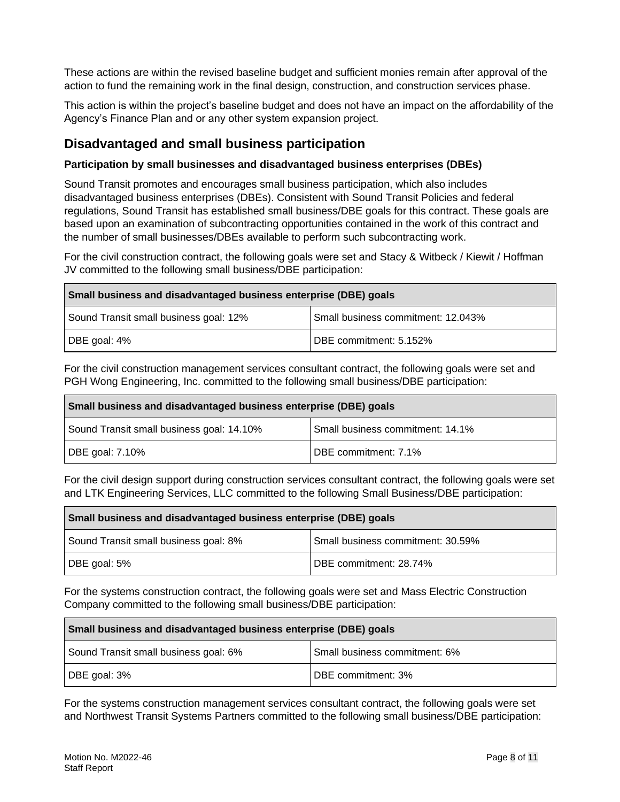These actions are within the revised baseline budget and sufficient monies remain after approval of the action to fund the remaining work in the final design, construction, and construction services phase.

This action is within the project's baseline budget and does not have an impact on the affordability of the Agency's Finance Plan and or any other system expansion project.

### **Disadvantaged and small business participation**

#### **Participation by small businesses and disadvantaged business enterprises (DBEs)**

Sound Transit promotes and encourages small business participation, which also includes disadvantaged business enterprises (DBEs). Consistent with Sound Transit Policies and federal regulations, Sound Transit has established small business/DBE goals for this contract. These goals are based upon an examination of subcontracting opportunities contained in the work of this contract and the number of small businesses/DBEs available to perform such subcontracting work.

For the civil construction contract, the following goals were set and Stacy & Witbeck / Kiewit / Hoffman JV committed to the following small business/DBE participation:

#### **Small business and disadvantaged business enterprise (DBE) goals**

| Sound Transit small business goal: 12% | Small business commitment: 12.043% |
|----------------------------------------|------------------------------------|
| DBE goal: 4%                           | DBE commitment: 5.152%             |

For the civil construction management services consultant contract, the following goals were set and PGH Wong Engineering, Inc. committed to the following small business/DBE participation:

| Small business and disadvantaged business enterprise (DBE) goals |                                  |  |  |
|------------------------------------------------------------------|----------------------------------|--|--|
| Sound Transit small business goal: 14.10%                        | Small business commitment: 14.1% |  |  |
| DBE goal: 7.10%                                                  | DBE commitment: 7.1%             |  |  |

For the civil design support during construction services consultant contract, the following goals were set and LTK Engineering Services, LLC committed to the following Small Business/DBE participation:

| Small business and disadvantaged business enterprise (DBE) goals |                                   |  |  |
|------------------------------------------------------------------|-----------------------------------|--|--|
| Sound Transit small business goal: 8%                            | Small business commitment: 30.59% |  |  |
| DBE goal: 5%                                                     | DBE commitment: 28.74%            |  |  |

For the systems construction contract, the following goals were set and Mass Electric Construction Company committed to the following small business/DBE participation:

| Small business and disadvantaged business enterprise (DBE) goals |                               |  |  |
|------------------------------------------------------------------|-------------------------------|--|--|
| Sound Transit small business goal: 6%                            | Small business commitment: 6% |  |  |
| DBE goal: 3%                                                     | DBE commitment: 3%            |  |  |

For the systems construction management services consultant contract, the following goals were set and Northwest Transit Systems Partners committed to the following small business/DBE participation: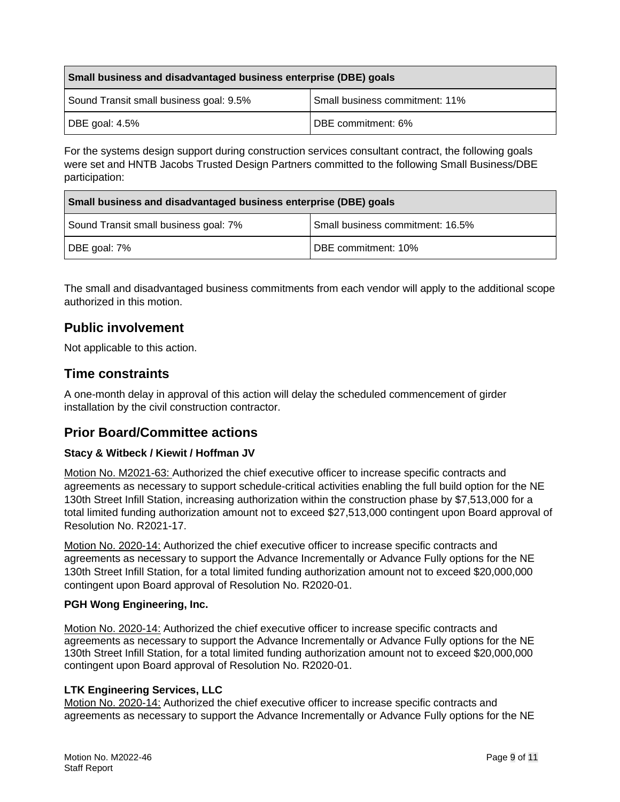| Small business and disadvantaged business enterprise (DBE) goals |                                |  |  |
|------------------------------------------------------------------|--------------------------------|--|--|
| Sound Transit small business goal: 9.5%                          | Small business commitment: 11% |  |  |
| DBE goal: $4.5\%$                                                | DBE commitment: 6%             |  |  |

For the systems design support during construction services consultant contract, the following goals were set and HNTB Jacobs Trusted Design Partners committed to the following Small Business/DBE participation:

| Small business and disadvantaged business enterprise (DBE) goals |                                  |  |
|------------------------------------------------------------------|----------------------------------|--|
| Sound Transit small business goal: 7%                            | Small business commitment: 16.5% |  |
| DBE goal: 7%                                                     | DBE commitment: 10%              |  |

The small and disadvantaged business commitments from each vendor will apply to the additional scope authorized in this motion.

## **Public involvement**

Not applicable to this action.

#### **Time constraints**

A one-month delay in approval of this action will delay the scheduled commencement of girder installation by the civil construction contractor.

#### **Prior Board/Committee actions**

#### **Stacy & Witbeck / Kiewit / Hoffman JV**

Motion No. M2021-63: Authorized the chief executive officer to increase specific contracts and agreements as necessary to support schedule-critical activities enabling the full build option for the NE 130th Street Infill Station, increasing authorization within the construction phase by \$7,513,000 for a total limited funding authorization amount not to exceed \$27,513,000 contingent upon Board approval of Resolution No. R2021-17.

Motion No. 2020-14: Authorized the chief executive officer to increase specific contracts and agreements as necessary to support the Advance Incrementally or Advance Fully options for the NE 130th Street Infill Station, for a total limited funding authorization amount not to exceed \$20,000,000 contingent upon Board approval of Resolution No. R2020-01.

#### **PGH Wong Engineering, Inc.**

Motion No. 2020-14: Authorized the chief executive officer to increase specific contracts and agreements as necessary to support the Advance Incrementally or Advance Fully options for the NE 130th Street Infill Station, for a total limited funding authorization amount not to exceed \$20,000,000 contingent upon Board approval of Resolution No. R2020-01.

#### **LTK Engineering Services, LLC**

Motion No. 2020-14: Authorized the chief executive officer to increase specific contracts and agreements as necessary to support the Advance Incrementally or Advance Fully options for the NE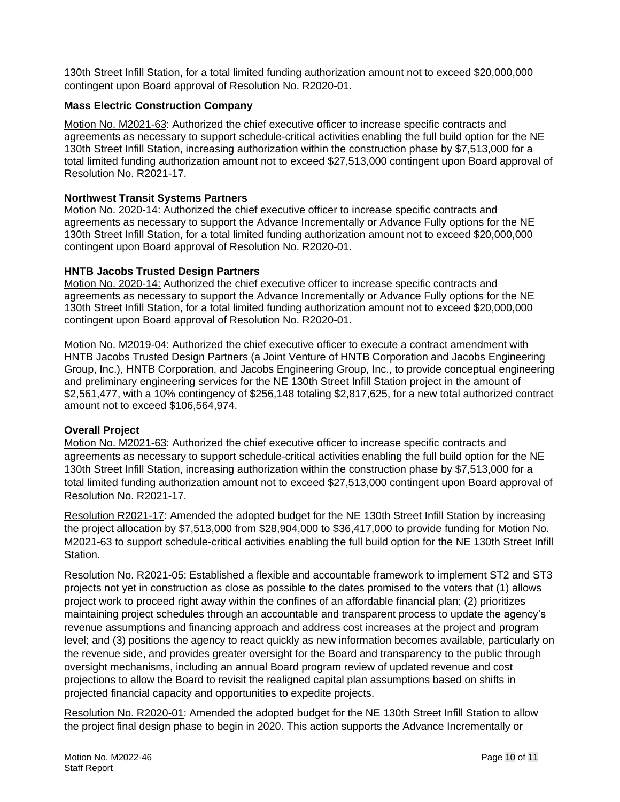130th Street Infill Station, for a total limited funding authorization amount not to exceed \$20,000,000 contingent upon Board approval of Resolution No. R2020-01.

#### **Mass Electric Construction Company**

Motion No. M2021-63: Authorized the chief executive officer to increase specific contracts and agreements as necessary to support schedule-critical activities enabling the full build option for the NE 130th Street Infill Station, increasing authorization within the construction phase by \$7,513,000 for a total limited funding authorization amount not to exceed \$27,513,000 contingent upon Board approval of Resolution No. R2021-17.

#### **Northwest Transit Systems Partners**

Motion No. 2020-14: Authorized the chief executive officer to increase specific contracts and agreements as necessary to support the Advance Incrementally or Advance Fully options for the NE 130th Street Infill Station, for a total limited funding authorization amount not to exceed \$20,000,000 contingent upon Board approval of Resolution No. R2020-01.

#### **HNTB Jacobs Trusted Design Partners**

Motion No. 2020-14: Authorized the chief executive officer to increase specific contracts and agreements as necessary to support the Advance Incrementally or Advance Fully options for the NE 130th Street Infill Station, for a total limited funding authorization amount not to exceed \$20,000,000 contingent upon Board approval of Resolution No. R2020-01.

Motion No. M2019-04: Authorized the chief executive officer to execute a contract amendment with HNTB Jacobs Trusted Design Partners (a Joint Venture of HNTB Corporation and Jacobs Engineering Group, Inc.), HNTB Corporation, and Jacobs Engineering Group, Inc., to provide conceptual engineering and preliminary engineering services for the NE 130th Street Infill Station project in the amount of \$2,561,477, with a 10% contingency of \$256,148 totaling \$2,817,625, for a new total authorized contract amount not to exceed \$106,564,974.

#### **Overall Project**

Motion No. M2021-63: Authorized the chief executive officer to increase specific contracts and agreements as necessary to support schedule-critical activities enabling the full build option for the NE 130th Street Infill Station, increasing authorization within the construction phase by \$7,513,000 for a total limited funding authorization amount not to exceed \$27,513,000 contingent upon Board approval of Resolution No. R2021-17.

Resolution R2021-17: Amended the adopted budget for the NE 130th Street Infill Station by increasing the project allocation by \$7,513,000 from \$28,904,000 to \$36,417,000 to provide funding for Motion No. M2021-63 to support schedule-critical activities enabling the full build option for the NE 130th Street Infill Station.

Resolution No. R2021-05: Established a flexible and accountable framework to implement ST2 and ST3 projects not yet in construction as close as possible to the dates promised to the voters that (1) allows project work to proceed right away within the confines of an affordable financial plan; (2) prioritizes maintaining project schedules through an accountable and transparent process to update the agency's revenue assumptions and financing approach and address cost increases at the project and program level; and (3) positions the agency to react quickly as new information becomes available, particularly on the revenue side, and provides greater oversight for the Board and transparency to the public through oversight mechanisms, including an annual Board program review of updated revenue and cost projections to allow the Board to revisit the realigned capital plan assumptions based on shifts in projected financial capacity and opportunities to expedite projects.

Resolution No. R2020-01: Amended the adopted budget for the NE 130th Street Infill Station to allow the project final design phase to begin in 2020. This action supports the Advance Incrementally or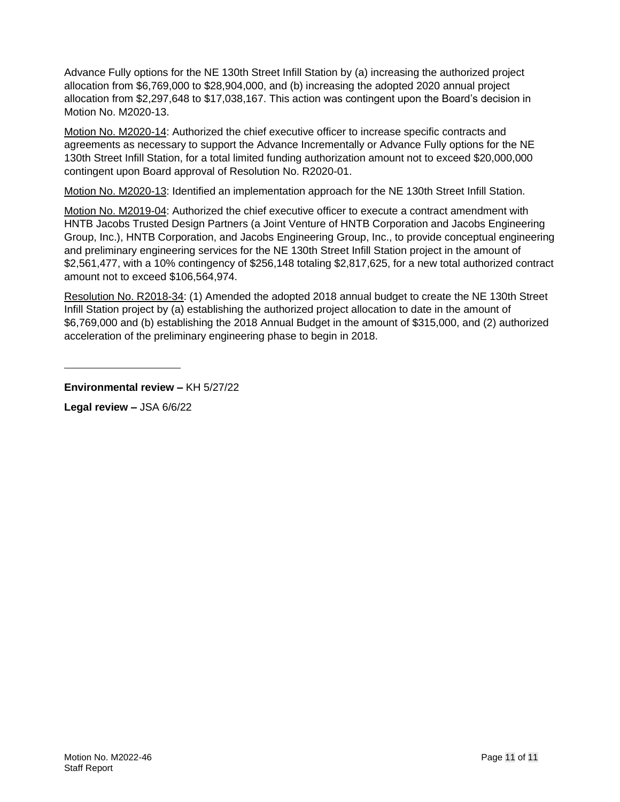Advance Fully options for the NE 130th Street Infill Station by (a) increasing the authorized project allocation from \$6,769,000 to \$28,904,000, and (b) increasing the adopted 2020 annual project allocation from \$2,297,648 to \$17,038,167. This action was contingent upon the Board's decision in Motion No. M2020-13.

Motion No. M2020-14: Authorized the chief executive officer to increase specific contracts and agreements as necessary to support the Advance Incrementally or Advance Fully options for the NE 130th Street Infill Station, for a total limited funding authorization amount not to exceed \$20,000,000 contingent upon Board approval of Resolution No. R2020-01.

Motion No. M2020-13: Identified an implementation approach for the NE 130th Street Infill Station.

Motion No. M2019-04: Authorized the chief executive officer to execute a contract amendment with HNTB Jacobs Trusted Design Partners (a Joint Venture of HNTB Corporation and Jacobs Engineering Group, Inc.), HNTB Corporation, and Jacobs Engineering Group, Inc., to provide conceptual engineering and preliminary engineering services for the NE 130th Street Infill Station project in the amount of \$2,561,477, with a 10% contingency of \$256,148 totaling \$2,817,625, for a new total authorized contract amount not to exceed \$106,564,974.

Resolution No. R2018-34: (1) Amended the adopted 2018 annual budget to create the NE 130th Street Infill Station project by (a) establishing the authorized project allocation to date in the amount of \$6,769,000 and (b) establishing the 2018 Annual Budget in the amount of \$315,000, and (2) authorized acceleration of the preliminary engineering phase to begin in 2018.

**Environmental review –** KH 5/27/22

**Legal review –** JSA 6/6/22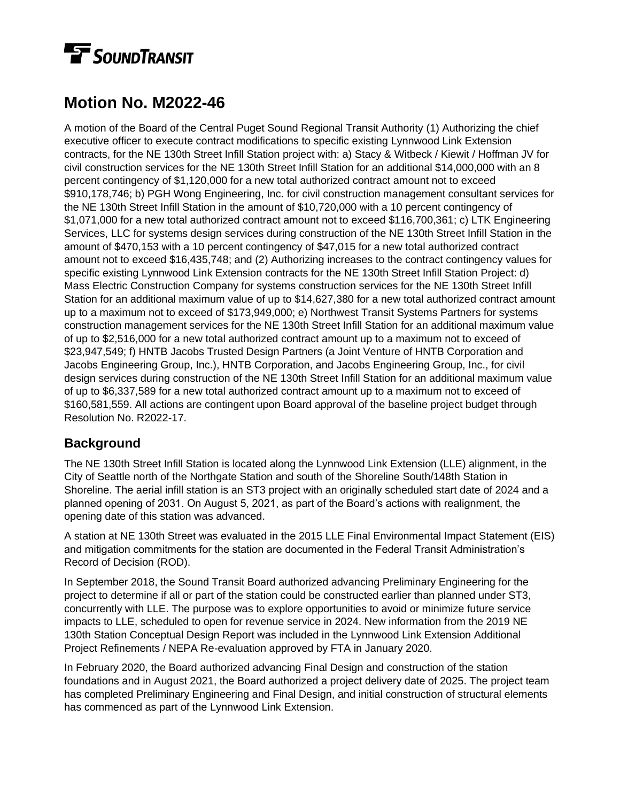# **TE** SOUNDTRANSIT

## **Motion No. M2022-46**

A motion of the Board of the Central Puget Sound Regional Transit Authority (1) Authorizing the chief executive officer to execute contract modifications to specific existing Lynnwood Link Extension contracts, for the NE 130th Street Infill Station project with: a) Stacy & Witbeck / Kiewit / Hoffman JV for civil construction services for the NE 130th Street Infill Station for an additional \$14,000,000 with an 8 percent contingency of \$1,120,000 for a new total authorized contract amount not to exceed \$910,178,746; b) PGH Wong Engineering, Inc. for civil construction management consultant services for the NE 130th Street Infill Station in the amount of \$10,720,000 with a 10 percent contingency of \$1,071,000 for a new total authorized contract amount not to exceed \$116,700,361; c) LTK Engineering Services, LLC for systems design services during construction of the NE 130th Street Infill Station in the amount of \$470,153 with a 10 percent contingency of \$47,015 for a new total authorized contract amount not to exceed \$16,435,748; and (2) Authorizing increases to the contract contingency values for specific existing Lynnwood Link Extension contracts for the NE 130th Street Infill Station Project: d) Mass Electric Construction Company for systems construction services for the NE 130th Street Infill Station for an additional maximum value of up to \$14,627,380 for a new total authorized contract amount up to a maximum not to exceed of \$173,949,000; e) Northwest Transit Systems Partners for systems construction management services for the NE 130th Street Infill Station for an additional maximum value of up to \$2,516,000 for a new total authorized contract amount up to a maximum not to exceed of \$23,947,549; f) HNTB Jacobs Trusted Design Partners (a Joint Venture of HNTB Corporation and Jacobs Engineering Group, Inc.), HNTB Corporation, and Jacobs Engineering Group, Inc., for civil design services during construction of the NE 130th Street Infill Station for an additional maximum value of up to \$6,337,589 for a new total authorized contract amount up to a maximum not to exceed of \$160,581,559. All actions are contingent upon Board approval of the baseline project budget through Resolution No. R2022-17.

## **Background**

The NE 130th Street Infill Station is located along the Lynnwood Link Extension (LLE) alignment, in the City of Seattle north of the Northgate Station and south of the Shoreline South/148th Station in Shoreline. The aerial infill station is an ST3 project with an originally scheduled start date of 2024 and a planned opening of 2031. On August 5, 2021, as part of the Board's actions with realignment, the opening date of this station was advanced.

A station at NE 130th Street was evaluated in the 2015 LLE Final Environmental Impact Statement (EIS) and mitigation commitments for the station are documented in the Federal Transit Administration's Record of Decision (ROD).

In September 2018, the Sound Transit Board authorized advancing Preliminary Engineering for the project to determine if all or part of the station could be constructed earlier than planned under ST3, concurrently with LLE. The purpose was to explore opportunities to avoid or minimize future service impacts to LLE, scheduled to open for revenue service in 2024. New information from the 2019 NE 130th Station Conceptual Design Report was included in the Lynnwood Link Extension Additional Project Refinements / NEPA Re-evaluation approved by FTA in January 2020.

In February 2020, the Board authorized advancing Final Design and construction of the station foundations and in August 2021, the Board authorized a project delivery date of 2025. The project team has completed Preliminary Engineering and Final Design, and initial construction of structural elements has commenced as part of the Lynnwood Link Extension.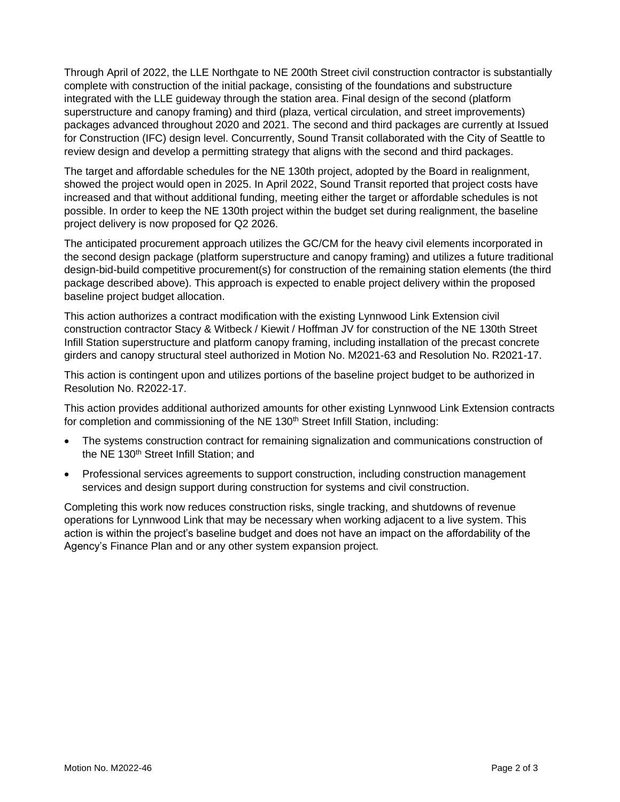Through April of 2022, the LLE Northgate to NE 200th Street civil construction contractor is substantially complete with construction of the initial package, consisting of the foundations and substructure integrated with the LLE guideway through the station area. Final design of the second (platform superstructure and canopy framing) and third (plaza, vertical circulation, and street improvements) packages advanced throughout 2020 and 2021. The second and third packages are currently at Issued for Construction (IFC) design level. Concurrently, Sound Transit collaborated with the City of Seattle to review design and develop a permitting strategy that aligns with the second and third packages.

The target and affordable schedules for the NE 130th project, adopted by the Board in realignment, showed the project would open in 2025. In April 2022, Sound Transit reported that project costs have increased and that without additional funding, meeting either the target or affordable schedules is not possible. In order to keep the NE 130th project within the budget set during realignment, the baseline project delivery is now proposed for Q2 2026.

The anticipated procurement approach utilizes the GC/CM for the heavy civil elements incorporated in the second design package (platform superstructure and canopy framing) and utilizes a future traditional design-bid-build competitive procurement(s) for construction of the remaining station elements (the third package described above). This approach is expected to enable project delivery within the proposed baseline project budget allocation.

This action authorizes a contract modification with the existing Lynnwood Link Extension civil construction contractor Stacy & Witbeck / Kiewit / Hoffman JV for construction of the NE 130th Street Infill Station superstructure and platform canopy framing, including installation of the precast concrete girders and canopy structural steel authorized in Motion No. M2021-63 and Resolution No. R2021-17.

This action is contingent upon and utilizes portions of the baseline project budget to be authorized in Resolution No. R2022-17.

This action provides additional authorized amounts for other existing Lynnwood Link Extension contracts for completion and commissioning of the NE 130<sup>th</sup> Street Infill Station, including:

- The systems construction contract for remaining signalization and communications construction of the NE 130<sup>th</sup> Street Infill Station; and
- Professional services agreements to support construction, including construction management services and design support during construction for systems and civil construction.

Completing this work now reduces construction risks, single tracking, and shutdowns of revenue operations for Lynnwood Link that may be necessary when working adjacent to a live system. This action is within the project's baseline budget and does not have an impact on the affordability of the Agency's Finance Plan and or any other system expansion project.